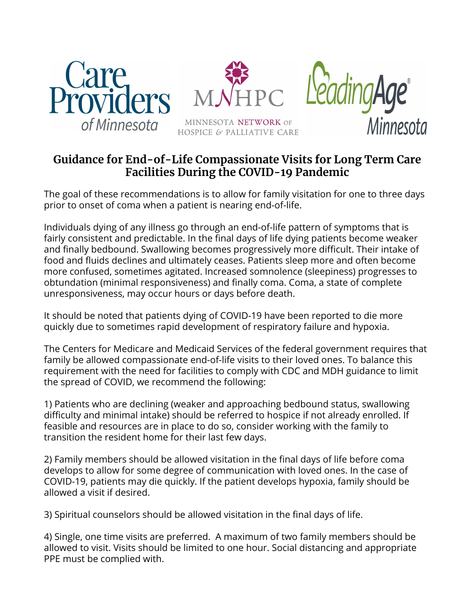

## **Guidance for End-of-Life Compassionate Visits for Long Term Care Facilities During the COVID-19 Pandemic**

The goal of these recommendations is to allow for family visitation for one to three days prior to onset of coma when a patient is nearing end-of-life.

Individuals dying of any illness go through an end-of-life pattern of symptoms that is fairly consistent and predictable. In the final days of life dying patients become weaker and finally bedbound. Swallowing becomes progressively more difficult. Their intake of food and fluids declines and ultimately ceases. Patients sleep more and often become more confused, sometimes agitated. Increased somnolence (sleepiness) progresses to obtundation (minimal responsiveness) and finally coma. Coma, a state of complete unresponsiveness, may occur hours or days before death.

It should be noted that patients dying of COVID-19 have been reported to die more quickly due to sometimes rapid development of respiratory failure and hypoxia.

The Centers for Medicare and Medicaid Services of the federal government requires that family be allowed compassionate end-of-life visits to their loved ones. To balance this requirement with the need for facilities to comply with CDC and MDH guidance to limit the spread of COVID, we recommend the following:

1) Patients who are declining (weaker and approaching bedbound status, swallowing difficulty and minimal intake) should be referred to hospice if not already enrolled. If feasible and resources are in place to do so, consider working with the family to transition the resident home for their last few days.

2) Family members should be allowed visitation in the final days of life before coma develops to allow for some degree of communication with loved ones. In the case of COVID-19, patients may die quickly. If the patient develops hypoxia, family should be allowed a visit if desired.

3) Spiritual counselors should be allowed visitation in the final days of life.

4) Single, one time visits are preferred. A maximum of two family members should be allowed to visit. Visits should be limited to one hour. Social distancing and appropriate PPE must be complied with.